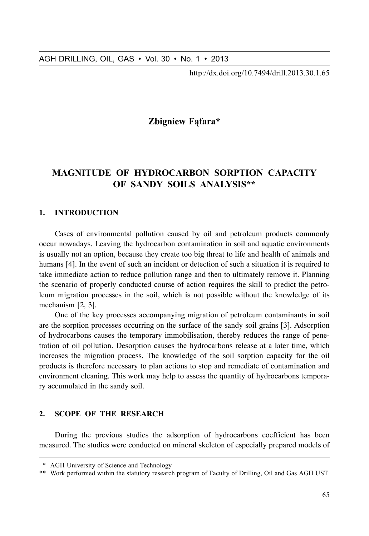http://dx.doi.org/10.7494/drill.2013.30.1.65

# Zbigniew Fąfara\*

# **MAGNITUDE OF HYDROCARBON SORPTION CAPACITY** OF SANDY SOILS ANALYSIS\*\*

#### $\mathbf{1}$ . **INTRODUCTION**

Cases of environmental pollution caused by oil and petroleum products commonly occur nowadays. Leaving the hydrocarbon contamination in soil and aquatic environments is usually not an option, because they create too big threat to life and health of animals and humans [4]. In the event of such an incident or detection of such a situation it is required to take immediate action to reduce pollution range and then to ultimately remove it. Planning the scenario of properly conducted course of action requires the skill to predict the petroleum migration processes in the soil, which is not possible without the knowledge of its mechanism  $[2, 3]$ .

One of the key processes accompanying migration of petroleum contaminants in soil are the sorption processes occurring on the surface of the sandy soil grains [3]. Adsorption of hydrocarbons causes the temporary immobilisation, thereby reduces the range of penetration of oil pollution. Desorption causes the hydrocarbons release at a later time, which increases the migration process. The knowledge of the soil sorption capacity for the oil products is therefore necessary to plan actions to stop and remediate of contamination and environment cleaning. This work may help to assess the quantity of hydrocarbons temporary accumulated in the sandy soil.

#### $\mathcal{L}$ **SCOPE OF THE RESEARCH**

During the previous studies the adsorption of hydrocarbons coefficient has been measured. The studies were conducted on mineral skeleton of especially prepared models of

<sup>\*</sup> AGH University of Science and Technology

<sup>\*\*</sup> Work performed within the statutory research program of Faculty of Drilling, Oil and Gas AGH UST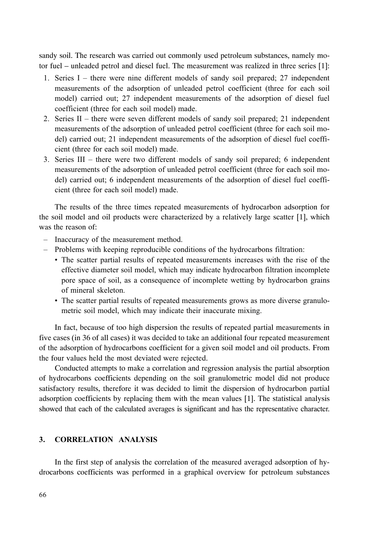sandy soil. The research was carried out commonly used petroleum substances, namely motor fuel – unleaded petrol and diesel fuel. The measurement was realized in three series [1]:

- 1. Series  $I$  there were nine different models of sandy soil prepared; 27 independent measurements of the adsorption of unleaded petrol coefficient (three for each soil model) carried out; 27 independent measurements of the adsorption of diesel fuel coefficient (three for each soil model) made.
- 2. Series  $II$  there were seven different models of sandy soil prepared; 21 independent measurements of the adsorption of unleaded petrol coefficient (three for each soil model) carried out; 21 independent measurements of the adsorption of diesel fuel coefficient (three for each soil model) made.
- 3. Series III there were two different models of sandy soil prepared; 6 independent measurements of the adsorption of unleaded petrol coefficient (three for each soil model) carried out; 6 independent measurements of the adsorption of diesel fuel coefficient (three for each soil model) made.

The results of the three times repeated measurements of hydrocarbon adsorption for the soil model and oil products were characterized by a relatively large scatter [1], which was the reason of

- Inaccuracy of the measurement method.
- Problems with keeping reproducible conditions of the hydrocarbons filtration:
	- The scatter partial results of repeated measurements increases with the rise of the effective diameter soil model, which may indicate hydrocarbon filtration incomplete pore space of soil, as a consequence of incomplete wetting by hydrocarbon grains of mineral skeleton.
	- The scatter partial results of repeated measurements grows as more diverse granulometric soil model, which may indicate their inaccurate mixing.

In fact, because of too high dispersion the results of repeated partial measurements in five cases (in 36 of all cases) it was decided to take an additional four repeated measurement of the adsorption of hydrocarbons coefficient for a given soil model and oil products. From the four values held the most deviated were rejected.

Conducted attempts to make a correlation and regression analysis the partial absorption of hydrocarbons coefficients depending on the soil granulometric model did not produce satisfactory results, therefore it was decided to limit the dispersion of hydrocarbon partial adsorption coefficients by replacing them with the mean values [1]. The statistical analysis showed that each of the calculated averages is significant and has the representative character.

## 3. CORRELATION ANALYSIS

In the first step of analysis the correlation of the measured averaged adsorption of hydrocarbons coefficients was performed in a graphical overview for petroleum substances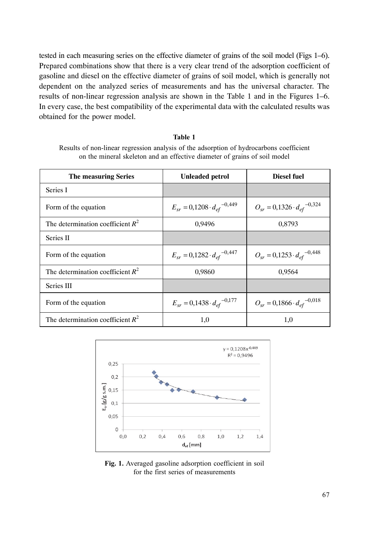tested in each measuring series on the effective diameter of grains of the soil model (Figs 1–6). Prepared combinations show that there is a very clear trend of the adsorption coefficient of gasoline and diesel on the effective diameter of grains of soil model, which is generally not dependent on the analyzed series of measurements and has the universal character. The results of non-linear regression analysis are shown in the Table 1 and in the Figures 1–6. In every case, the best compatibility of the experimental data with the calculated results was obtained for the power model.

### Table 1

Results of non-linear regression analysis of the adsorption of hydrocarbons coefficient on the mineral skeleton and an effective diameter of grains of soil model

| The measuring Series                | <b>Unleaded petrol</b>                  | <b>Diesel fuel</b>                      |
|-------------------------------------|-----------------------------------------|-----------------------------------------|
| Series I                            |                                         |                                         |
| Form of the equation                | $E_{sr} = 0,1208 \cdot d_{ef}^{-0,449}$ | $O_{sr} = 0.1326 \cdot d_{ef}^{-0.324}$ |
| The determination coefficient $R^2$ | 0,9496                                  | 0,8793                                  |
| Series II                           |                                         |                                         |
| Form of the equation                | $E_{sr} = 0.1282 \cdot d_{ef}^{-0.447}$ | $O_{sr} = 0.1253 \cdot d_{ef}^{-0.448}$ |
| The determination coefficient $R^2$ | 0,9860                                  | 0,9564                                  |
| Series III                          |                                         |                                         |
| Form of the equation                | $E_{sr} = 0.1438 \cdot d_{ef}^{-0.177}$ | $O_{sr} = 0.1866 \cdot d_{ef}^{-0.018}$ |
| The determination coefficient $R^2$ | 1,0                                     | 1,0                                     |



Fig. 1. Averaged gasoline adsorption coefficient in soil for the first series of measurements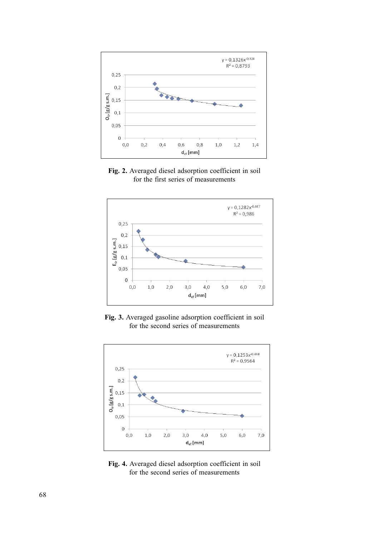





Fig. 3. Averaged gasoline adsorption coefficient in soil for the second series of measurements



Fig. 4. Averaged diesel adsorption coefficient in soil for the second series of measurements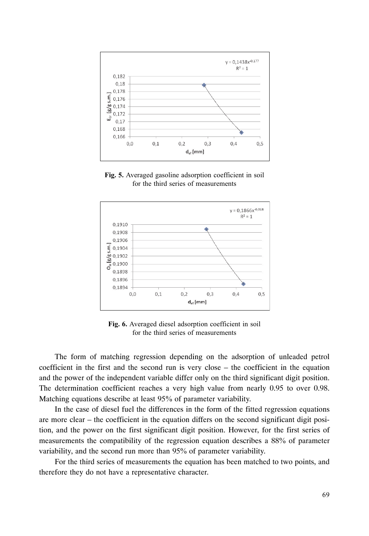

Fig. 5. Averaged gasoline adsorption coefficient in soil for the third series of measurements



Fig. 6. Averaged diesel adsorption coefficient in soil for the third series of measurements

The form of matching regression depending on the adsorption of unleaded petrol coefficient in the first and the second run is very close – the coefficient in the equation and the power of the independent variable differ only on the third significant digit position. The determination coefficient reaches a very high value from nearly 0.95 to over 0.98. Matching equations describe at least 95% of parameter variability.

In the case of diesel fuel the differences in the form of the fitted regression equations are more clear – the coefficient in the equation differs on the second significant digit position, and the power on the first significant digit position. However, for the first series of measurements the compatibility of the regression equation describes a 88% of parameter variability, and the second run more than 95% of parameter variability.

For the third series of measurements the equation has been matched to two points, and therefore they do not have a representative character.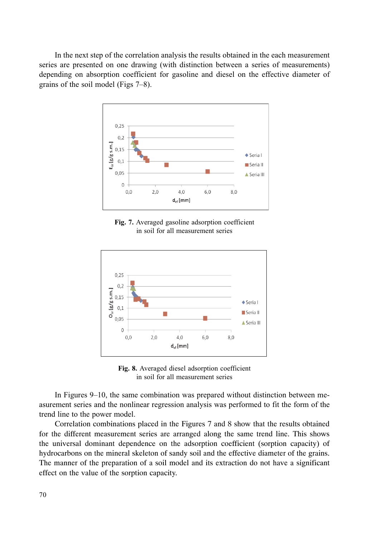In the next step of the correlation analysis the results obtained in the each measurement series are presented on one drawing (with distinction between a series of measurements) depending on absorption coefficient for gasoline and diesel on the effective diameter of grains of the soil model (Figs  $7-8$ ).



Fig. 7. Averaged gasoline adsorption coefficient in soil for all measurement series



Fig. 8. Averaged diesel adsorption coefficient in soil for all measurement series

In Figures 9–10, the same combination was prepared without distinction between measurement series and the nonlinear regression analysis was performed to fit the form of the trend line to the power model.

Correlation combinations placed in the Figures 7 and 8 show that the results obtained for the different measurement series are arranged along the same trend line. This shows the universal dominant dependence on the adsorption coefficient (sorption capacity) of hydrocarbons on the mineral skeleton of sandy soil and the effective diameter of the grains. The manner of the preparation of a soil model and its extraction do not have a significant effect on the value of the sorption capacity.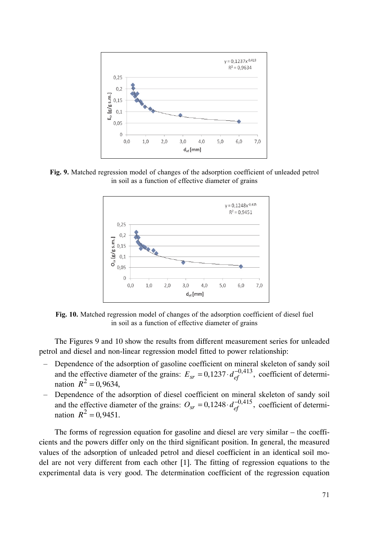

Fig. 9. Matched regression model of changes of the adsorption coefficient of unleaded petrol in soil as a function of effective diameter of grains



Fig. 10. Matched regression model of changes of the adsorption coefficient of diesel fuel in soil as a function of effective diameter of grains

The Figures 9 and 10 show the results from different measurement series for unleaded petrol and diesel and non-linear regression model fitted to power relationship:

- Dependence of the adsorption of gasoline coefficient on mineral skeleton of sandy soil and the effective diameter of the grains:  $E_{sr} = 0.1237 \cdot d_{ef}^{-0.413}$ , coefficient of determination  $R^2 = 0,9634,$
- Dependence of the adsorption of diesel coefficient on mineral skeleton of sandy soil and the effective diameter of the grains:  $O_{sr} = 0.1248 \cdot d_{ef}^{-0.415}$ , coefficient of determination  $R^2 = 0,9451$ .

The forms of regression equation for gasoline and diesel are very similar – the coefficients and the powers differ only on the third significant position. In general, the measured values of the adsorption of unleaded petrol and diesel coefficient in an identical soil model are not very different from each other [1]. The fitting of regression equations to the experimental data is very good. The determination coefficient of the regression equation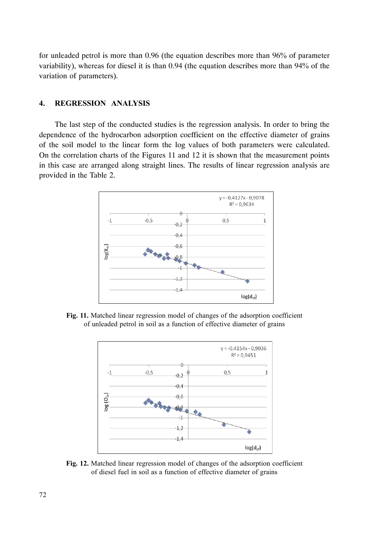for unleaded petrol is more than  $0.96$  (the equation describes more than  $96\%$  of parameter variability), whereas for diesel it is than 0.94 (the equation describes more than 94% of the variation of parameters).

#### $4.$ . REGRESSION ANALYSIS

The last step of the conducted studies is the regression analysis. In order to bring the dependence of the hydrocarbon adsorption coefficient on the effective diameter of grains of the soil model to the linear form the log values of both parameters were calculated. On the correlation charts of the Figures 11 and 12 it is shown that the measurement points in this case are arranged along straight lines. The results of linear regression analysis are provided in the Table 2.



Fig. 11. Matched linear regression model of changes of the adsorption coefficient of unleaded petrol in soil as a function of effective diameter of grains



Fig. 12. Matched linear regression model of changes of the adsorption coefficient of diesel fuel in soil as a function of effective diameter of grains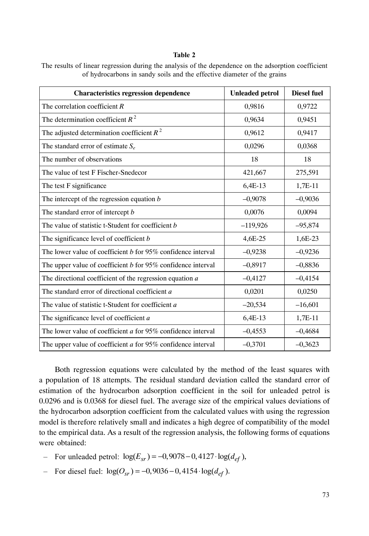### Table 2

| <b>Characteristics regression dependence</b>                   | <b>Unleaded petrol</b> | <b>Diesel fuel</b> |
|----------------------------------------------------------------|------------------------|--------------------|
| The correlation coefficient $R$                                | 0,9816                 | 0,9722             |
| The determination coefficient $R^2$                            | 0,9634                 | 0,9451             |
| The adjusted determination coefficient $R^2$                   | 0,9612                 | 0,9417             |
| The standard error of estimate $S_e$                           | 0,0296                 | 0,0368             |
| The number of observations                                     | 18                     | 18                 |
| The value of test F Fischer-Snedecor                           | 421,667                | 275,591            |
| The test F significance                                        | 6,4E-13                | 1,7E-11            |
| The intercept of the regression equation $b$                   | $-0,9078$              | $-0,9036$          |
| The standard error of intercept b                              | 0.0076                 | 0.0094             |
| The value of statistic t-Student for coefficient b             | $-119,926$             | $-95,874$          |
| The significance level of coefficient b                        | 4,6E-25                | 1,6E-23            |
| The lower value of coefficient $b$ for 95% confidence interval | $-0,9238$              | $-0,9236$          |
| The upper value of coefficient $b$ for 95% confidence interval | $-0,8917$              | $-0,8836$          |
| The directional coefficient of the regression equation a       | $-0,4127$              | $-0,4154$          |
| The standard error of directional coefficient a                | 0,0201                 | 0,0250             |
| The value of statistic t-Student for coefficient a             | $-20,534$              | $-16,601$          |
| The significance level of coefficient a                        | 6,4E-13                | 1,7E-11            |
| The lower value of coefficient $a$ for 95% confidence interval | $-0,4553$              | $-0,4684$          |
| The upper value of coefficient $a$ for 95% confidence interval | $-0,3701$              | $-0,3623$          |

The results of linear regression during the analysis of the dependence on the adsorption coefficient of hydrocarbons in sandy soils and the effective diameter of the grains

Both regression equations were calculated by the method of the least squares with a population of 18 attempts. The residual standard deviation called the standard error of estimation of the hydrocarbon adsorption coefficient in the soil for unleaded petrol is 0.0296 and is 0.0368 for diesel fuel. The average size of the empirical values deviations of the hydrocarbon adsorption coefficient from the calculated values with using the regression model is therefore relatively small and indicates a high degree of compatibility of the model to the empirical data. As a result of the regression analysis, the following forms of equations were obtained:

- $\blacksquare$  For unleaded petrol:  $\log(E_{sr}) = -0.9078 0.4127 \cdot \log(d_{ef}),$
- $\blacksquare$  For diesel fuel:  $\log(O_{sr}) = -0.9036 0.4154 \cdot \log(d_{ef})$ .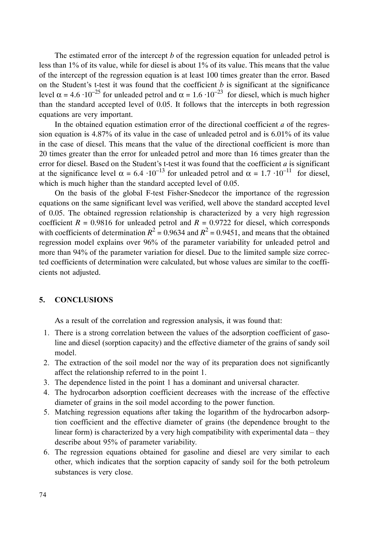The estimated error of the intercept *b* of the regression equation for unleaded petrol is less than  $1\%$  of its value, while for diesel is about  $1\%$  of its value. This means that the value of the intercept of the regression equation is at least 100 times greater than the error. Based on the Student's t-test it was found that the coefficient  $b$  is significant at the significance level  $\alpha$  = 4.6 ·10<sup>-25</sup> for unleaded petrol and  $\alpha$  = 1.6 ·10<sup>-23</sup> for diesel, which is much higher than the standard accepted level of 0.05. It follows that the intercepts in both regression equations are very important.

In the obtained equation estimation error of the directional coefficient *a* of the regression equation is  $4.87\%$  of its value in the case of unleaded petrol and is  $6.01\%$  of its value in the case of diesel. This means that the value of the directional coefficient is more than 20 times greater than the error for unleaded petrol and more than 16 times greater than the error for diesel. Based on the Student's t-test it was found that the coefficient  $a$  is significant at the significance level  $\alpha = 6.4 \cdot 10^{-13}$  for unleaded petrol and  $\alpha = 1.7 \cdot 10^{-11}$  for diesel, which is much higher than the standard accepted level of 0.05.

On the basis of the global F-test Fisher-Snedecor the importance of the regression equations on the same significant level was verified, well above the standard accepted level of 0.05. The obtained regression relationship is characterized by a very high regression coefficient  $R = 0.9816$  for unleaded petrol and  $R = 0.9722$  for diesel, which corresponds with coefficients of determination  $R^2 = 0.9634$  and  $R^2 = 0.9451$ , and means that the obtained regression model explains over 96% of the parameter variability for unleaded petrol and more than 94% of the parameter variation for diesel. Due to the limited sample size corrected coefficients of determination were calculated, but whose values are similar to the coefficients not adjusted.

# 5. CONCLUSIONS

As a result of the correlation and regression analysis, it was found that:

- 1. There is a strong correlation between the values of the adsorption coefficient of gasoline and diesel (sorption capacity) and the effective diameter of the grains of sandy soil model.
- 2. The extraction of the soil model nor the way of its preparation does not significantly affect the relationship referred to in the point 1.
- 3. The dependence listed in the point 1 has a dominant and universal character.
- 4. The hydrocarbon adsorption coefficient decreases with the increase of the effective diameter of grains in the soil model according to the power function.
- 5. Matching regression equations after taking the logarithm of the hydrocarbon adsorption coefficient and the effective diameter of grains (the dependence brought to the linear form) is characterized by a very high compatibility with experimental data – they describe about 95% of parameter variability.
- 6. The regression equations obtained for gasoline and diesel are very similar to each other, which indicates that the sorption capacity of sandy soil for the both petroleum substances is very close.